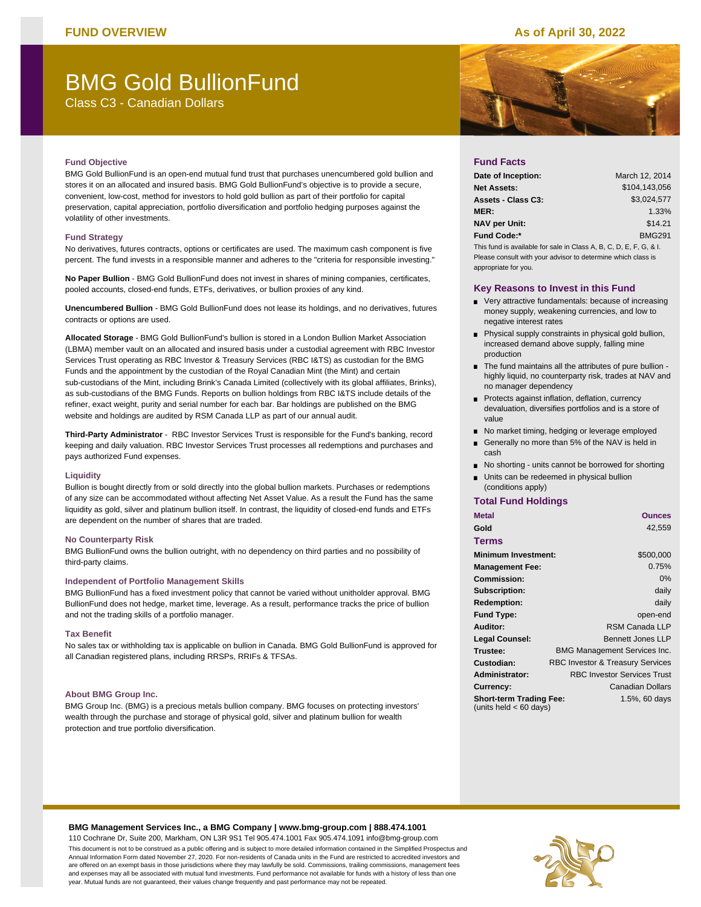# **FUND OVERVIEW As of April 30, 2022**

# BMG Gold BullionFund

Class C3 - Canadian Dollars

# **Fund Objective**

BMG Gold BullionFund is an open-end mutual fund trust that purchases unencumbered gold bullion and stores it on an allocated and insured basis. BMG Gold BullionFund's objective is to provide a secure, convenient, low-cost, method for investors to hold gold bullion as part of their portfolio for capital preservation, capital appreciation, portfolio diversification and portfolio hedging purposes against the volatility of other investments.

#### **Fund Strategy**

No derivatives, futures contracts, options or certificates are used. The maximum cash component is five percent. The fund invests in a responsible manner and adheres to the "criteria for responsible investing."

**No Paper Bullion** - BMG Gold BullionFund does not invest in shares of mining companies, certificates, pooled accounts, closed-end funds, ETFs, derivatives, or bullion proxies of any kind.

**Unencumbered Bullion** - BMG Gold BullionFund does not lease its holdings, and no derivatives, futures contracts or options are used.

**Allocated Storage** - BMG Gold BullionFund's bullion is stored in a London Bullion Market Association (LBMA) member vault on an allocated and insured basis under a custodial agreement with RBC Investor Services Trust operating as RBC Investor & Treasury Services (RBC I&TS) as custodian for the BMG Funds and the appointment by the custodian of the Royal Canadian Mint (the Mint) and certain sub-custodians of the Mint, including Brink's Canada Limited (collectively with its global affiliates, Brinks), as sub-custodians of the BMG Funds. Reports on bullion holdings from RBC I&TS include details of the refiner, exact weight, purity and serial number for each bar. Bar holdings are published on the BMG website and holdings are audited by RSM Canada LLP as part of our annual audit.

**Third-Party Administrator** - RBC Investor Services Trust is responsible for the Fund's banking, record keeping and daily valuation. RBC Investor Services Trust processes all redemptions and purchases and pays authorized Fund expenses.

### **Liquidity**

Bullion is bought directly from or sold directly into the global bullion markets. Purchases or redemptions of any size can be accommodated without affecting Net Asset Value. As a result the Fund has the same liquidity as gold, silver and platinum bullion itself. In contrast, the liquidity of closed-end funds and ETFs are dependent on the number of shares that are traded.

### **No Counterparty Risk**

BMG BullionFund owns the bullion outright, with no dependency on third parties and no possibility of third-party claims.

## **Independent of Portfolio Management Skills**

BMG BullionFund has a fixed investment policy that cannot be varied without unitholder approval. BMG BullionFund does not hedge, market time, leverage. As a result, performance tracks the price of bullion and not the trading skills of a portfolio manager.

### **Tax Benefit**

No sales tax or withholding tax is applicable on bullion in Canada. BMG Gold BullionFund is approved for all Canadian registered plans, including RRSPs, RRIFs & TFSAs.

#### **About BMG Group Inc.**

BMG Group Inc. (BMG) is a precious metals bullion company. BMG focuses on protecting investors' wealth through the purchase and storage of physical gold, silver and platinum bullion for wealth protection and true portfolio diversification.



## **Fund Facts**

| Date of Inception:                                                 | March 12, 2014 |  |  |  |
|--------------------------------------------------------------------|----------------|--|--|--|
| <b>Net Assets:</b>                                                 | \$104.143.056  |  |  |  |
| Assets - Class C3:                                                 | \$3.024.577    |  |  |  |
| <b>MER:</b>                                                        | 1.33%          |  |  |  |
| <b>NAV per Unit:</b>                                               | \$14.21        |  |  |  |
| <b>Fund Code:*</b>                                                 | <b>BMG291</b>  |  |  |  |
| This fund is available for sale in Class A, B, C, D, E, F, G, & I. |                |  |  |  |
| Please consult with your advisor to determine which class is       |                |  |  |  |

Please consult with your advisor to determine which class is appropriate for you.

## **Key Reasons to Invest in this Fund**

- **very attractive fundamentals: because of increasing** money supply, weakening currencies, and low to negative interest rates
- **Physical supply constraints in physical gold bullion,** increased demand above supply, falling mine production
- The fund maintains all the attributes of pure bullion highly liquid, no counterparty risk, trades at NAV and no manager dependency
- Protects against inflation, deflation, currency devaluation, diversifies portfolios and is a store of value
- No market timing, hedging or leverage employed
- Generally no more than 5% of the NAV is held in cash
- No shorting units cannot be borrowed for shorting
- Units can be redeemed in physical bullion (conditions apply)

# **Total Fund Holdings**

| <b>Metal</b>                                               | <b>Ounces</b>                               |
|------------------------------------------------------------|---------------------------------------------|
| Gold                                                       | 42,559                                      |
| Terms                                                      |                                             |
| <b>Minimum Investment:</b>                                 | \$500,000                                   |
| <b>Management Fee:</b>                                     | 0.75%                                       |
| <b>Commission:</b>                                         | 0%                                          |
| Subscription:                                              | daily                                       |
| <b>Redemption:</b>                                         | daily                                       |
| <b>Fund Type:</b>                                          | open-end                                    |
| Auditor:                                                   | RSM Canada LLP                              |
| <b>Legal Counsel:</b>                                      | <b>Bennett Jones LLP</b>                    |
| Trustee:                                                   | <b>BMG Management Services Inc.</b>         |
| Custodian:                                                 | <b>RBC Investor &amp; Treasury Services</b> |
| <b>Administrator:</b>                                      | <b>RBC Investor Services Trust</b>          |
| Currency:                                                  | Canadian Dollars                            |
| <b>Short-term Trading Fee:</b><br>(units held $< 60$ days) | 1.5%, 60 days                               |
|                                                            |                                             |

#### **BMG Management Services Inc., a BMG Company | www.bmg-group.com | 888.474.1001** 110 Cochrane Dr, Suite 200, Markham, ON L3R 9S1 Tel 905.474.1001 Fax 905.474.1091 info@bmg-group.com

This document is not to be construed as a public offering and is subject to more detailed information contained in the Simplified Prospectus and Annual Information Form dated November 27, 2020. For non-residents of Canada units in the Fund are restricted to accredited investors and are offered on an exempt basis in those jurisdictions where they may lawfully be sold. Commissions, trailing commissions, management fees and expenses may all be associated with mutual fund investments. Fund performance not available for funds with a history of less than one year. Mutual funds are not guaranteed, their values change frequently and past performance may not be repeated.